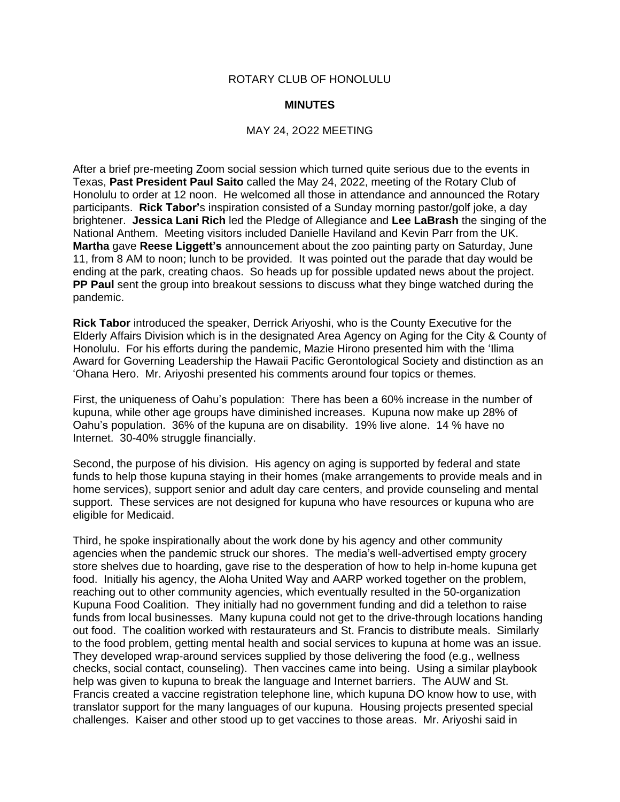## ROTARY CLUB OF HONOLULU

## **MINUTES**

## MAY 24, 2O22 MEETING

After a brief pre-meeting Zoom social session which turned quite serious due to the events in Texas, **Past President Paul Saito** called the May 24, 2022, meeting of the Rotary Club of Honolulu to order at 12 noon. He welcomed all those in attendance and announced the Rotary participants. **Rick Tabor'**s inspiration consisted of a Sunday morning pastor/golf joke, a day brightener. **Jessica Lani Rich** led the Pledge of Allegiance and **Lee LaBrash** the singing of the National Anthem. Meeting visitors included Danielle Haviland and Kevin Parr from the UK. **Martha** gave **Reese Liggett's** announcement about the zoo painting party on Saturday, June 11, from 8 AM to noon; lunch to be provided. It was pointed out the parade that day would be ending at the park, creating chaos. So heads up for possible updated news about the project. **PP Paul** sent the group into breakout sessions to discuss what they binge watched during the pandemic.

**Rick Tabor** introduced the speaker, Derrick Ariyoshi, who is the County Executive for the Elderly Affairs Division which is in the designated Area Agency on Aging for the City & County of Honolulu. For his efforts during the pandemic, Mazie Hirono presented him with the 'Ilima Award for Governing Leadership the Hawaii Pacific Gerontological Society and distinction as an 'Ohana Hero. Mr. Ariyoshi presented his comments around four topics or themes.

First, the uniqueness of Oahu's population: There has been a 60% increase in the number of kupuna, while other age groups have diminished increases. Kupuna now make up 28% of Oahu's population. 36% of the kupuna are on disability. 19% live alone. 14 % have no Internet. 30-40% struggle financially.

Second, the purpose of his division. His agency on aging is supported by federal and state funds to help those kupuna staying in their homes (make arrangements to provide meals and in home services), support senior and adult day care centers, and provide counseling and mental support. These services are not designed for kupuna who have resources or kupuna who are eligible for Medicaid.

Third, he spoke inspirationally about the work done by his agency and other community agencies when the pandemic struck our shores. The media's well-advertised empty grocery store shelves due to hoarding, gave rise to the desperation of how to help in-home kupuna get food. Initially his agency, the Aloha United Way and AARP worked together on the problem, reaching out to other community agencies, which eventually resulted in the 50-organization Kupuna Food Coalition. They initially had no government funding and did a telethon to raise funds from local businesses. Many kupuna could not get to the drive-through locations handing out food. The coalition worked with restaurateurs and St. Francis to distribute meals. Similarly to the food problem, getting mental health and social services to kupuna at home was an issue. They developed wrap-around services supplied by those delivering the food (e.g., wellness checks, social contact, counseling). Then vaccines came into being. Using a similar playbook help was given to kupuna to break the language and Internet barriers. The AUW and St. Francis created a vaccine registration telephone line, which kupuna DO know how to use, with translator support for the many languages of our kupuna. Housing projects presented special challenges. Kaiser and other stood up to get vaccines to those areas. Mr. Ariyoshi said in